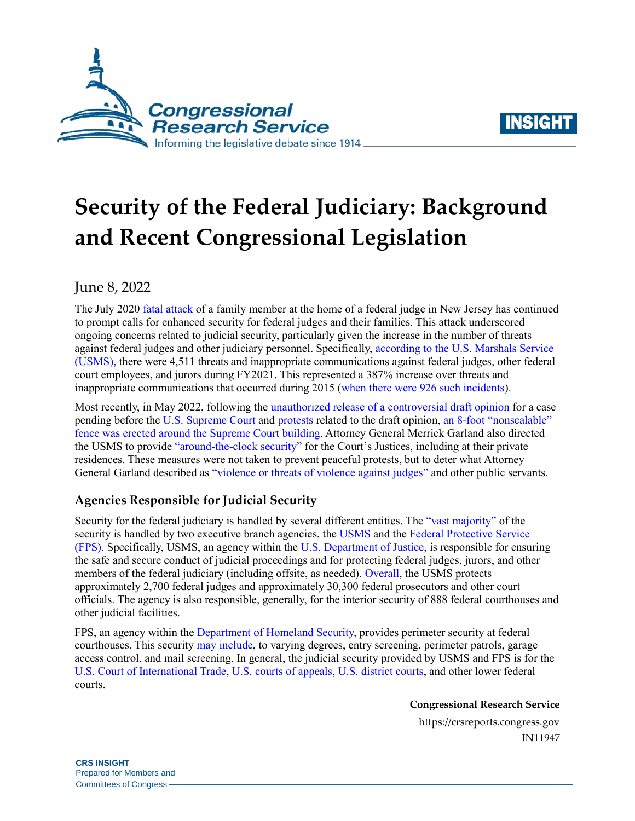



# **Security of the Federal Judiciary: Background and Recent Congressional Legislation**

# June 8, 2022

The July 2020 [fatal attack](https://abcnews.go.com/US/federal-judges-son-shot-killed-husband-injured-attack/story?id=71871708) of a family member at the home of a federal judge in New Jersey has continued to prompt calls for enhanced security for federal judges and their families. This attack underscored ongoing concerns related to judicial security, particularly given the increase in the number of threats against federal judges and other judiciary personnel. Specifically, [according to the U.S. Marshals Service](https://www.usmarshals.gov/duties/factsheets/judicial_sec.pdf)  [\(USMS\),](https://www.usmarshals.gov/duties/factsheets/judicial_sec.pdf) there were 4,511 threats and inappropriate communications against federal judges, other federal court employees, and jurors during FY2021. This represented a 387% increase over threats and inappropriate communications that occurred during 2015 [\(when there were 926 such incidents\)](https://www.uscourts.gov/news/2021/07/14/judiciary-affirms-need-bill-protect-federal-judges).

Most recently, in May 2022, following the [unauthorized release of a controversial draft opinion](https://www.politico.com/news/2022/05/02/supreme-court-abortion-draft-opinion-00029473) for a case pending before the U.S. [Supreme Court](https://www.uscourts.gov/about-federal-courts/educational-resources/about-educational-outreach/activity-resources/about) and [protests](https://www.nbcnews.com/politics/politics-news/protesters-drawn-supreme-court-monday-night-report-draft-ruling-overtu-rcna27046) related to the draft opinion, [an 8-foot "nonscalable"](https://www.nbcnews.com/politics/supreme-court/non-scalable-fence-erected-supreme-court-abortion-related-protests-rcna27452) [fence was erected around the Supreme Court building.](https://www.nbcnews.com/politics/supreme-court/non-scalable-fence-erected-supreme-court-abortion-related-protests-rcna27452) Attorney General Merrick Garland also directed the USMS to provide ["around-the-clock security"](https://news.bloomberglaw.com/us-law-week/supreme-court-justices-to-get-around-the-clock-security-at-home) for the Court's Justices, including at their private residences. These measures were not taken to prevent peaceful protests, but to deter what Attorney General Garland described as ["violence or threats of violence against judges"](https://www.justice.gov/opa/pr/attorney-general-merrick-b-garland-meets-supreme-court-officials-regarding-judicial-security) and other public servants.

## **Agencies Responsible for Judicial Security**

Security for the federal judiciary is handled by several different entities. The ["vast majority"](https://judicature.duke.edu/articles/modernizing-security-measures-to-protect-federal-judges-and-their-families/) of the security is handled by two executive branch agencies, the [USMS](https://www.usmarshals.gov/duties/factsheets/overview.pdf) and the [Federal Protective Service](https://www.dhs.gov/federal-protective-service) (FPS). Specifically, USMS, an agency within the [U.S. Department of Justice,](https://www.justice.gov/) is responsible for ensuring the safe and secure conduct of judicial proceedings and for protecting federal judges, jurors, and other members of the federal judiciary (including offsite, as needed). [Overall,](https://www.usmarshals.gov/duties/factsheets/judicial_sec.pdf) the USMS protects approximately 2,700 federal judges and approximately 30,300 federal prosecutors and other court officials. The agency is also responsible, generally, for the interior security of 888 federal courthouses and other judicial facilities.

FPS, an agency within the [Department of Homeland Security,](https://www.dhs.gov/) provides perimeter security at federal courthouses. This securit[y may include,](https://www.dhs.gov/fps-what-we-do-fps-services) to varying degrees, entry screening, perimeter patrols, garage access control, and mail screening. In general, the judicial security provided by USMS and FPS is for the [U.S. Court of International Trade,](https://www.cit.uscourts.gov/about-court) [U.S. courts of appeals,](https://www.uscourts.gov/about-federal-courts/court-role-and-structure/about-us-courts-appeals) [U.S. district courts,](https://www.justice.gov/usao/justice-101/federal-courts) and other lower federal courts.

**Congressional Research Service**

https://crsreports.congress.gov IN11947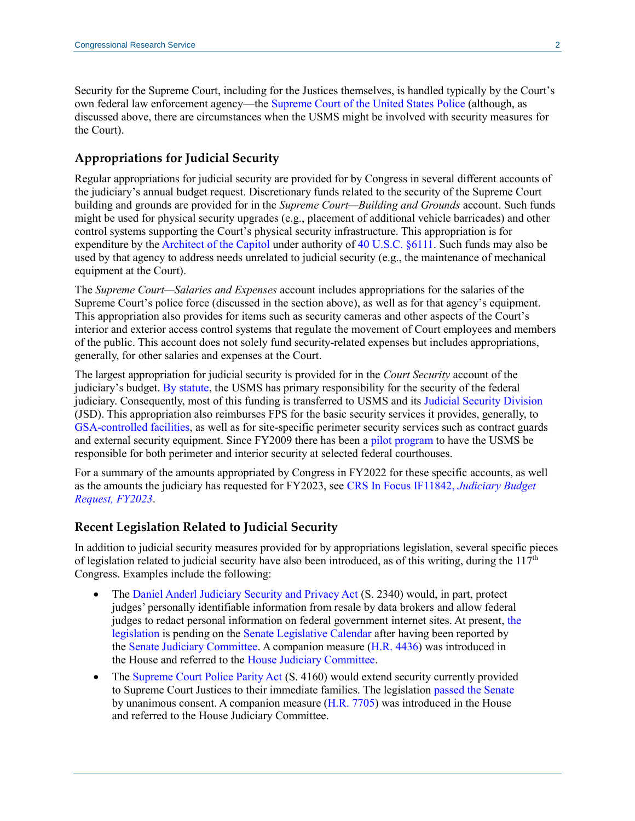Security for the Supreme Court, including for the Justices themselves, is handled typically by the Court's own federal law enforcement agency—the [Supreme Court of the United States Police](https://www.supremecourt.gov/jobs/police/police.aspx) (although, as discussed above, there are circumstances when the USMS might be involved with security measures for the Court).

#### **Appropriations for Judicial Security**

Regular appropriations for judicial security are provided for by Congress in several different accounts of the judiciary's annual budget request. Discretionary funds related to the security of the Supreme Court building and grounds are provided for in the *Supreme Court—Building and Grounds* account. Such funds might be used for physical security upgrades (e.g., placement of additional vehicle barricades) and other control systems supporting the Court's physical security infrastructure. This appropriation is for expenditure by the [Architect of the Capitol](https://www.aoc.gov/) under authority of [40 U.S.C. §6111.](https://uscode.house.gov/view.xhtml?req=(title:40%20section:6111%20edition:prelim)) Such funds may also be used by that agency to address needs unrelated to judicial security (e.g., the maintenance of mechanical equipment at the Court).

The *Supreme Court—Salaries and Expenses* account includes appropriations for the salaries of the Supreme Court's police force (discussed in the section above), as well as for that agency's equipment. This appropriation also provides for items such as security cameras and other aspects of the Court's interior and exterior access control systems that regulate the movement of Court employees and members of the public. This account does not solely fund security-related expenses but includes appropriations, generally, for other salaries and expenses at the Court.

The largest appropriation for judicial security is provided for in the *Court Security* account of the judiciary's budget. [By statute,](https://uscode.house.gov/view.xhtml?req=(title:28%20section:566%20edition:prelim)) the USMS has primary responsibility for the security of the federal judiciary. Consequently, most of this funding is transferred to USMS and its [Judicial Security Division](https://www.usmarshals.gov/judicial/) (JSD). This appropriation also reimburses FPS for the basic security services it provides, generally, to [GSA-controlled facilities,](https://www.gsa.gov/real-estate/gsa-properties) as well as for site-specific perimeter security services such as contract guards and external security equipment. Since FY2009 there has been [a pilot program](https://www.uscourts.gov/sites/default/files/FY%202023%20Congressional%20Budget%20Summary.pdf) to have the USMS be responsible for both perimeter and interior security at selected federal courthouses.

For a summary of the amounts appropriated by Congress in FY2022 for these specific accounts, as well as the amounts the judiciary has requested for FY2023, see [CRS In Focus IF11842,](https://crsreports.congress.gov/product/pdf/IF/IF11842) *Judiciary Budget [Request, FY2023](https://crsreports.congress.gov/product/pdf/IF/IF11842)*.

#### **Recent Legislation Related to Judicial Security**

In addition to judicial security measures provided for by appropriations legislation, several specific pieces of legislation related to judicial security have also been introduced, as of this writing, during the  $117<sup>th</sup>$ Congress. Examples include the following:

- The [Daniel Anderl Judiciary Security and Privacy Act](https://www.congress.gov/bill/117th-congress/senate-bill/2340?q=%7B%22search%22%3A%22judicial+security%22%7D&s=3&r=2) [\(S. 2340\)](http://www.congress.gov/cgi-lis/bdquery/z?d117:S.2340:) would, in part, protect judges' personally identifiable information from resale by data brokers and allow federal judges to redact personal information on federal government internet sites. At present, [the](https://plus.cq.com/doc/committees-20211202476308?2&searchId=08FX64kD)  [legislation](https://plus.cq.com/doc/committees-20211202476308?2&searchId=08FX64kD) is pending on the [Senate Legislative Calendar](https://www.senate.gov/legislative/Senate_leg_calendar_page.htm) after having been reported by the [Senate Judiciary Committee.](https://www.judiciary.senate.gov/) A companion measure [\(H.R. 4436\)](https://www.congress.gov/bill/117th-congress/house-bill/4436?q=%7B%22search%22%3A%22hr+4436%22%7D&s=2&r=2) was introduced in the House and referred to th[e House Judiciary Committee.](https://judiciary.house.gov/)
- The [Supreme Court Police Parity Act](https://www.congress.gov/bill/117th-congress/house-bill/7705?q=%7B%22search%22%3A%22court+security%22%7D&s=6&r=3) [\(S. 4160\)](http://www.congress.gov/cgi-lis/bdquery/z?d117:S.4160:) would extend security currently provided to Supreme Court Justices to their immediate families. The legislation [passed the Senate](https://www.congress.gov/bill/117th-congress/senate-bill/4160/all-actions?q=%7B%22search%22%3A%22court+security%22%7D&s=6&r=4&overview=closed#tabs) by unanimous consent. A companion measure [\(H.R. 7705\)](https://www.congress.gov/bill/117th-congress/house-bill/7705?q=%7B%22search%22%3A%22hr+7705%22%7D&s=3&r=2) was introduced in the House and referred to the House Judiciary Committee.